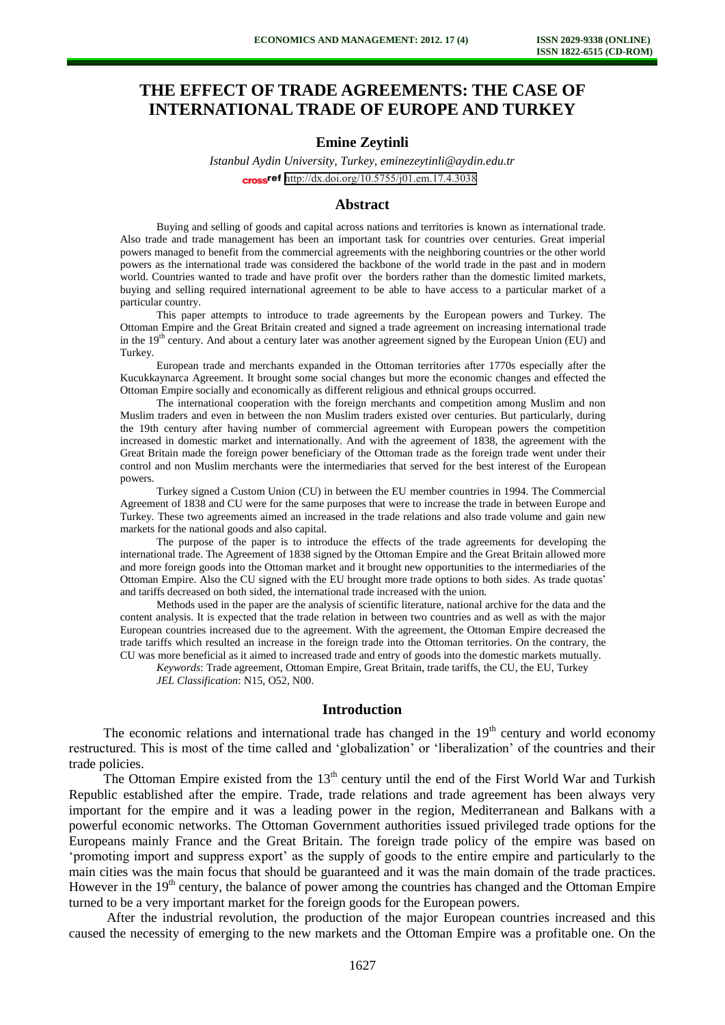# **THE EFFECT OF TRADE AGREEMENTS: THE CASE OF INTERNATIONAL TRADE OF EUROPE AND TURKEY**

# **Emine Zeytinli**

*Istanbul Aydin University, Turkey, eminezeytinli@aydin.edu.tr*  cross<sup>ref</sup> <http://dx.doi.org/10.5755/j01.em.17.4.3038>

## **Abstract**

Buying and selling of goods and capital across nations and territories is known as international trade. Also trade and trade management has been an important task for countries over centuries. Great imperial powers managed to benefit from the commercial agreements with the neighboring countries or the other world powers as the international trade was considered the backbone of the world trade in the past and in modern world. Countries wanted to trade and have profit over the borders rather than the domestic limited markets, buying and selling required international agreement to be able to have access to a particular market of a particular country.

This paper attempts to introduce to trade agreements by the European powers and Turkey. The Ottoman Empire and the Great Britain created and signed a trade agreement on increasing international trade in the 19<sup>th</sup> century. And about a century later was another agreement signed by the European Union (EU) and Turkey.

European trade and merchants expanded in the Ottoman territories after 1770s especially after the Kucukkaynarca Agreement. It brought some social changes but more the economic changes and effected the Ottoman Empire socially and economically as different religious and ethnical groups occurred.

The international cooperation with the foreign merchants and competition among Muslim and non Muslim traders and even in between the non Muslim traders existed over centuries. But particularly, during the 19th century after having number of commercial agreement with European powers the competition increased in domestic market and internationally. And with the agreement of 1838, the agreement with the Great Britain made the foreign power beneficiary of the Ottoman trade as the foreign trade went under their control and non Muslim merchants were the intermediaries that served for the best interest of the European powers.

Turkey signed a Custom Union (CU) in between the EU member countries in 1994. The Commercial Agreement of 1838 and CU were for the same purposes that were to increase the trade in between Europe and Turkey. These two agreements aimed an increased in the trade relations and also trade volume and gain new markets for the national goods and also capital.

The purpose of the paper is to introduce the effects of the trade agreements for developing the international trade. The Agreement of 1838 signed by the Ottoman Empire and the Great Britain allowed more and more foreign goods into the Ottoman market and it brought new opportunities to the intermediaries of the Ottoman Empire. Also the CU signed with the EU brought more trade options to both sides. As trade quotas' and tariffs decreased on both sided, the international trade increased with the union.

Methods used in the paper are the analysis of scientific literature, national archive for the data and the content analysis. It is expected that the trade relation in between two countries and as well as with the major European countries increased due to the agreement. With the agreement, the Ottoman Empire decreased the trade tariffs which resulted an increase in the foreign trade into the Ottoman territories. On the contrary, the CU was more beneficial as it aimed to increased trade and entry of goods into the domestic markets mutually.

*Keywords*: Trade agreement, Ottoman Empire, Great Britain, trade tariffs, the CU, the EU, Turkey *JEL Classification*: N15, O52, N00.

#### **Introduction**

The economic relations and international trade has changed in the  $19<sup>th</sup>$  century and world economy restructured. This is most of the time called and 'globalization' or 'liberalization' of the countries and their trade policies.

The Ottoman Empire existed from the  $13<sup>th</sup>$  century until the end of the First World War and Turkish Republic established after the empire. Trade, trade relations and trade agreement has been always very important for the empire and it was a leading power in the region, Mediterranean and Balkans with a powerful economic networks. The Ottoman Government authorities issued privileged trade options for the Europeans mainly France and the Great Britain. The foreign trade policy of the empire was based on 'promoting import and suppress export' as the supply of goods to the entire empire and particularly to the main cities was the main focus that should be guaranteed and it was the main domain of the trade practices. However in the  $19<sup>th</sup>$  century, the balance of power among the countries has changed and the Ottoman Empire turned to be a very important market for the foreign goods for the European powers.

 After the industrial revolution, the production of the major European countries increased and this caused the necessity of emerging to the new markets and the Ottoman Empire was a profitable one. On the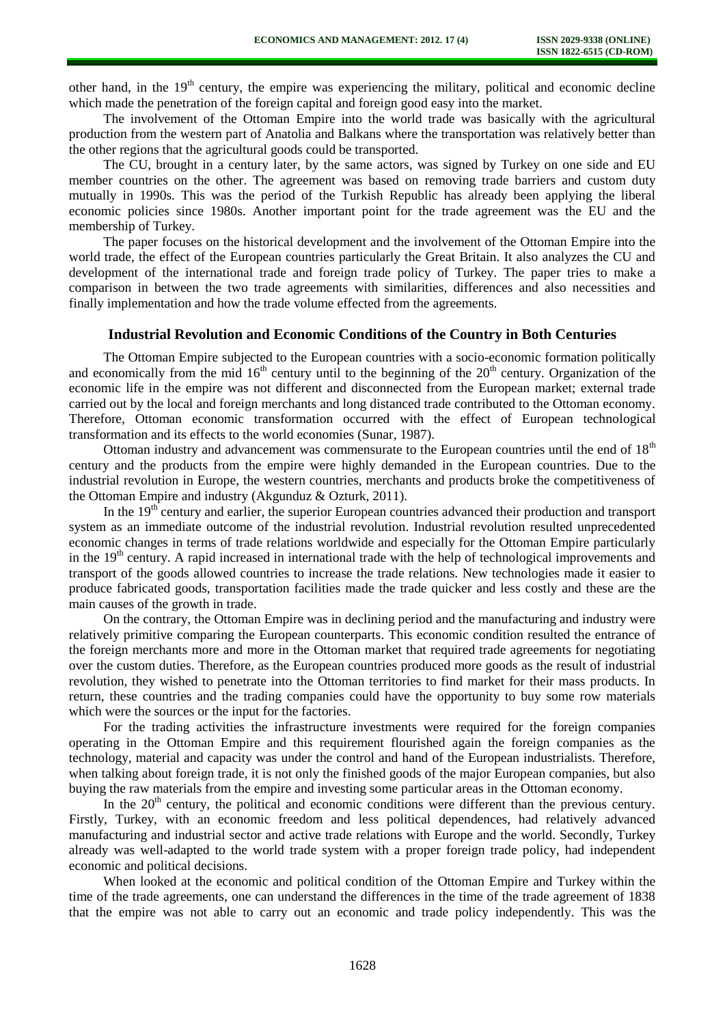other hand, in the  $19<sup>th</sup>$  century, the empire was experiencing the military, political and economic decline which made the penetration of the foreign capital and foreign good easy into the market.

The involvement of the Ottoman Empire into the world trade was basically with the agricultural production from the western part of Anatolia and Balkans where the transportation was relatively better than the other regions that the agricultural goods could be transported.

The CU, brought in a century later, by the same actors, was signed by Turkey on one side and EU member countries on the other. The agreement was based on removing trade barriers and custom duty mutually in 1990s. This was the period of the Turkish Republic has already been applying the liberal economic policies since 1980s. Another important point for the trade agreement was the EU and the membership of Turkey.

The paper focuses on the historical development and the involvement of the Ottoman Empire into the world trade, the effect of the European countries particularly the Great Britain. It also analyzes the CU and development of the international trade and foreign trade policy of Turkey. The paper tries to make a comparison in between the two trade agreements with similarities, differences and also necessities and finally implementation and how the trade volume effected from the agreements.

# **Industrial Revolution and Economic Conditions of the Country in Both Centuries**

The Ottoman Empire subjected to the European countries with a socio-economic formation politically and economically from the mid 16<sup>th</sup> century until to the beginning of the  $20<sup>th</sup>$  century. Organization of the economic life in the empire was not different and disconnected from the European market; external trade carried out by the local and foreign merchants and long distanced trade contributed to the Ottoman economy. Therefore, Ottoman economic transformation occurred with the effect of European technological transformation and its effects to the world economies (Sunar, 1987).

Ottoman industry and advancement was commensurate to the European countries until the end of  $18<sup>th</sup>$ century and the products from the empire were highly demanded in the European countries. Due to the industrial revolution in Europe, the western countries, merchants and products broke the competitiveness of the Ottoman Empire and industry (Akgunduz & Ozturk, 2011).

In the  $19<sup>th</sup>$  century and earlier, the superior European countries advanced their production and transport system as an immediate outcome of the industrial revolution. Industrial revolution resulted unprecedented economic changes in terms of trade relations worldwide and especially for the Ottoman Empire particularly in the  $19<sup>th</sup>$  century. A rapid increased in international trade with the help of technological improvements and transport of the goods allowed countries to increase the trade relations. New technologies made it easier to produce fabricated goods, transportation facilities made the trade quicker and less costly and these are the main causes of the growth in trade.

On the contrary, the Ottoman Empire was in declining period and the manufacturing and industry were relatively primitive comparing the European counterparts. This economic condition resulted the entrance of the foreign merchants more and more in the Ottoman market that required trade agreements for negotiating over the custom duties. Therefore, as the European countries produced more goods as the result of industrial revolution, they wished to penetrate into the Ottoman territories to find market for their mass products. In return, these countries and the trading companies could have the opportunity to buy some row materials which were the sources or the input for the factories.

For the trading activities the infrastructure investments were required for the foreign companies operating in the Ottoman Empire and this requirement flourished again the foreign companies as the technology, material and capacity was under the control and hand of the European industrialists. Therefore, when talking about foreign trade, it is not only the finished goods of the major European companies, but also buying the raw materials from the empire and investing some particular areas in the Ottoman economy.

In the  $20<sup>th</sup>$  century, the political and economic conditions were different than the previous century. Firstly, Turkey, with an economic freedom and less political dependences, had relatively advanced manufacturing and industrial sector and active trade relations with Europe and the world. Secondly, Turkey already was well-adapted to the world trade system with a proper foreign trade policy, had independent economic and political decisions.

When looked at the economic and political condition of the Ottoman Empire and Turkey within the time of the trade agreements, one can understand the differences in the time of the trade agreement of 1838 that the empire was not able to carry out an economic and trade policy independently. This was the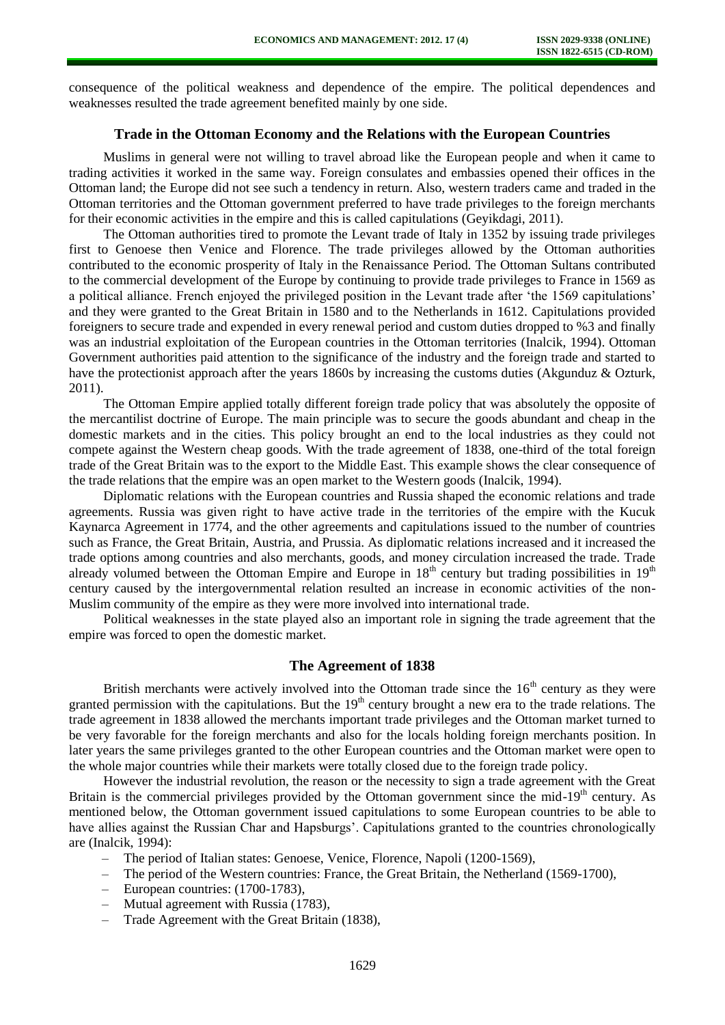consequence of the political weakness and dependence of the empire. The political dependences and weaknesses resulted the trade agreement benefited mainly by one side.

# **Trade in the Ottoman Economy and the Relations with the European Countries**

Muslims in general were not willing to travel abroad like the European people and when it came to trading activities it worked in the same way. Foreign consulates and embassies opened their offices in the Ottoman land; the Europe did not see such a tendency in return. Also, western traders came and traded in the Ottoman territories and the Ottoman government preferred to have trade privileges to the foreign merchants for their economic activities in the empire and this is called capitulations (Geyikdagi, 2011).

The Ottoman authorities tired to promote the Levant trade of Italy in 1352 by issuing trade privileges first to Genoese then Venice and Florence. The trade privileges allowed by the Ottoman authorities contributed to the economic prosperity of Italy in the Renaissance Period. The Ottoman Sultans contributed to the commercial development of the Europe by continuing to provide trade privileges to France in 1569 as a political alliance. French enjoyed the privileged position in the Levant trade after 'the 1569 capitulations' and they were granted to the Great Britain in 1580 and to the Netherlands in 1612. Capitulations provided foreigners to secure trade and expended in every renewal period and custom duties dropped to %3 and finally was an industrial exploitation of the European countries in the Ottoman territories (Inalcik, 1994). Ottoman Government authorities paid attention to the significance of the industry and the foreign trade and started to have the protectionist approach after the years 1860s by increasing the customs duties (Akgunduz & Ozturk, 2011).

The Ottoman Empire applied totally different foreign trade policy that was absolutely the opposite of the mercantilist doctrine of Europe. The main principle was to secure the goods abundant and cheap in the domestic markets and in the cities. This policy brought an end to the local industries as they could not compete against the Western cheap goods. With the trade agreement of 1838, one-third of the total foreign trade of the Great Britain was to the export to the Middle East. This example shows the clear consequence of the trade relations that the empire was an open market to the Western goods (Inalcik, 1994).

Diplomatic relations with the European countries and Russia shaped the economic relations and trade agreements. Russia was given right to have active trade in the territories of the empire with the Kucuk Kaynarca Agreement in 1774, and the other agreements and capitulations issued to the number of countries such as France, the Great Britain, Austria, and Prussia. As diplomatic relations increased and it increased the trade options among countries and also merchants, goods, and money circulation increased the trade. Trade already volumed between the Ottoman Empire and Europe in  $18<sup>th</sup>$  century but trading possibilities in  $19<sup>th</sup>$ century caused by the intergovernmental relation resulted an increase in economic activities of the non-Muslim community of the empire as they were more involved into international trade.

Political weaknesses in the state played also an important role in signing the trade agreement that the empire was forced to open the domestic market.

# **The Agreement of 1838**

British merchants were actively involved into the Ottoman trade since the  $16<sup>th</sup>$  century as they were granted permission with the capitulations. But the  $19<sup>th</sup>$  century brought a new era to the trade relations. The trade agreement in 1838 allowed the merchants important trade privileges and the Ottoman market turned to be very favorable for the foreign merchants and also for the locals holding foreign merchants position. In later years the same privileges granted to the other European countries and the Ottoman market were open to the whole major countries while their markets were totally closed due to the foreign trade policy.

However the industrial revolution, the reason or the necessity to sign a trade agreement with the Great Britain is the commercial privileges provided by the Ottoman government since the mid-19<sup>th</sup> century. As mentioned below, the Ottoman government issued capitulations to some European countries to be able to have allies against the Russian Char and Hapsburgs'. Capitulations granted to the countries chronologically are (Inalcik, 1994):

- The period of Italian states: Genoese, Venice, Florence, Napoli (1200-1569),
- The period of the Western countries: France, the Great Britain, the Netherland (1569-1700),
- European countries: (1700-1783),
- Mutual agreement with Russia (1783),
- Trade Agreement with the Great Britain (1838),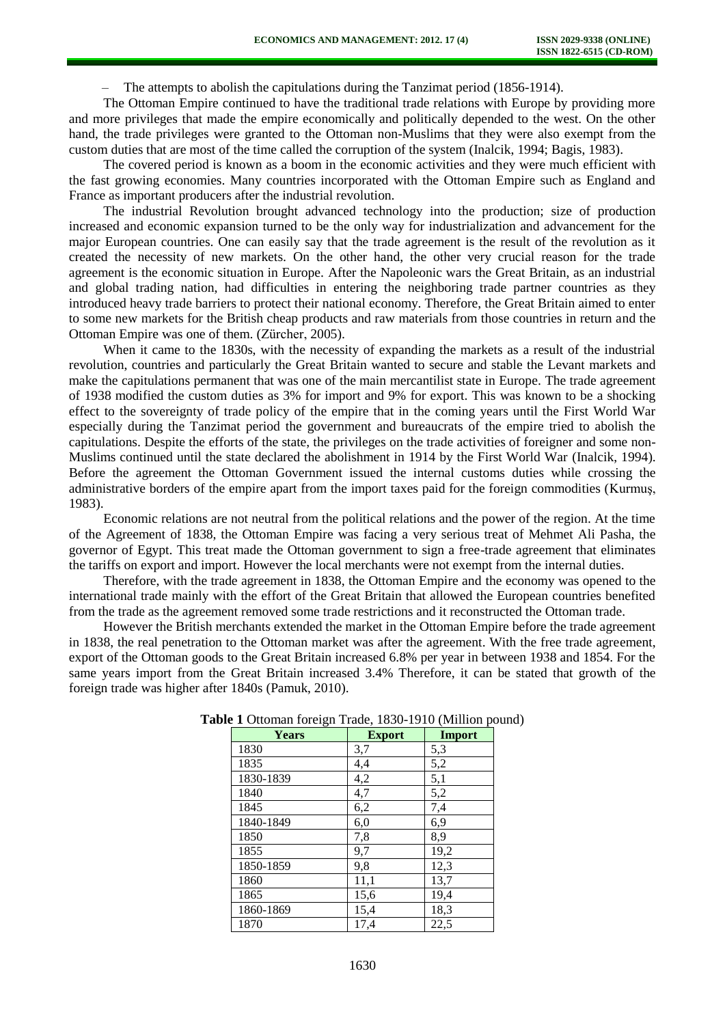– The attempts to abolish the capitulations during the Tanzimat period (1856-1914).

The Ottoman Empire continued to have the traditional trade relations with Europe by providing more and more privileges that made the empire economically and politically depended to the west. On the other hand, the trade privileges were granted to the Ottoman non-Muslims that they were also exempt from the custom duties that are most of the time called the corruption of the system (Inalcik, 1994; Bagis, 1983).

The covered period is known as a boom in the economic activities and they were much efficient with the fast growing economies. Many countries incorporated with the Ottoman Empire such as England and France as important producers after the industrial revolution.

The industrial Revolution brought advanced technology into the production; size of production increased and economic expansion turned to be the only way for industrialization and advancement for the major European countries. One can easily say that the trade agreement is the result of the revolution as it created the necessity of new markets. On the other hand, the other very crucial reason for the trade agreement is the economic situation in Europe. After the Napoleonic wars the Great Britain, as an industrial and global trading nation, had difficulties in entering the neighboring trade partner countries as they introduced heavy trade barriers to protect their national economy. Therefore, the Great Britain aimed to enter to some new markets for the British cheap products and raw materials from those countries in return and the Ottoman Empire was one of them. (Zürcher, 2005).

When it came to the 1830s, with the necessity of expanding the markets as a result of the industrial revolution, countries and particularly the Great Britain wanted to secure and stable the Levant markets and make the capitulations permanent that was one of the main mercantilist state in Europe. The trade agreement of 1938 modified the custom duties as 3% for import and 9% for export. This was known to be a shocking effect to the sovereignty of trade policy of the empire that in the coming years until the First World War especially during the Tanzimat period the government and bureaucrats of the empire tried to abolish the capitulations. Despite the efforts of the state, the privileges on the trade activities of foreigner and some non-Muslims continued until the state declared the abolishment in 1914 by the First World War (Inalcik, 1994). Before the agreement the Ottoman Government issued the internal customs duties while crossing the administrative borders of the empire apart from the import taxes paid for the foreign commodities (Kurmuş, 1983).

Economic relations are not neutral from the political relations and the power of the region. At the time of the Agreement of 1838, the Ottoman Empire was facing a very serious treat of Mehmet Ali Pasha, the governor of Egypt. This treat made the Ottoman government to sign a free-trade agreement that eliminates the tariffs on export and import. However the local merchants were not exempt from the internal duties.

Therefore, with the trade agreement in 1838, the Ottoman Empire and the economy was opened to the international trade mainly with the effort of the Great Britain that allowed the European countries benefited from the trade as the agreement removed some trade restrictions and it reconstructed the Ottoman trade.

However the British merchants extended the market in the Ottoman Empire before the trade agreement in 1838, the real penetration to the Ottoman market was after the agreement. With the free trade agreement, export of the Ottoman goods to the Great Britain increased 6.8% per year in between 1938 and 1854. For the same years import from the Great Britain increased 3.4% Therefore, it can be stated that growth of the foreign trade was higher after 1840s (Pamuk, 2010).

| <b>Years</b> | <b>Export</b> | Import |
|--------------|---------------|--------|
| 1830         | 3,7           | 5,3    |
| 1835         | 4,4           | 5,2    |
| 1830-1839    | 4,2           | 5,1    |
| 1840         | 4,7           | 5,2    |
| 1845         | 6,2           | 7,4    |
| 1840-1849    | 6,0           | 6,9    |
| 1850         | 7,8           | 8,9    |
| 1855         | 9,7           | 19,2   |
| 1850-1859    | 9,8           | 12,3   |
| 1860         | 11,1          | 13,7   |
| 1865         | 15,6          | 19,4   |
| 1860-1869    | 15,4          | 18,3   |
| 1870         | 17,4          | 22,5   |

## **Table 1** Ottoman foreign Trade, 1830-1910 (Million pound)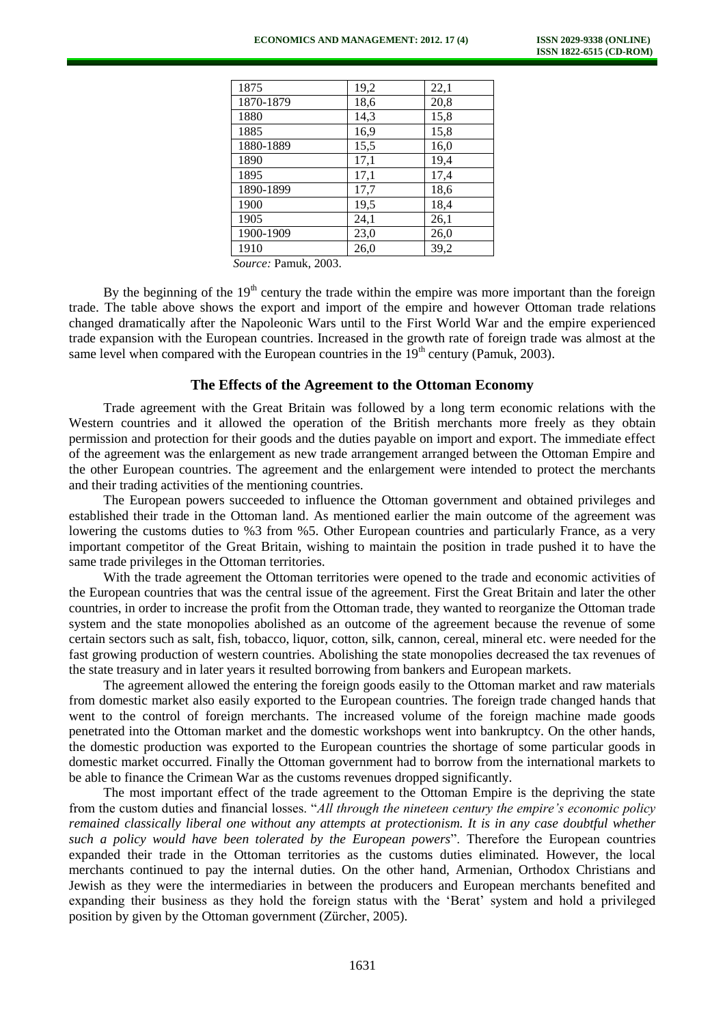| 1875      | 19,2 | 22,1 |
|-----------|------|------|
| 1870-1879 | 18,6 | 20,8 |
| 1880      | 14,3 | 15,8 |
| 1885      | 16,9 | 15,8 |
| 1880-1889 | 15,5 | 16,0 |
| 1890      | 17,1 | 19,4 |
| 1895      | 17,1 | 17,4 |
| 1890-1899 | 17,7 | 18,6 |
| 1900      | 19,5 | 18,4 |
| 1905      | 24,1 | 26,1 |
| 1900-1909 | 23,0 | 26,0 |
| 1910      | 26,0 | 39,2 |
|           |      |      |

*Source:* Pamuk, 2003.

By the beginning of the  $19<sup>th</sup>$  century the trade within the empire was more important than the foreign trade. The table above shows the export and import of the empire and however Ottoman trade relations changed dramatically after the Napoleonic Wars until to the First World War and the empire experienced trade expansion with the European countries. Increased in the growth rate of foreign trade was almost at the same level when compared with the European countries in the  $19<sup>th</sup>$  century (Pamuk, 2003).

## **The Effects of the Agreement to the Ottoman Economy**

Trade agreement with the Great Britain was followed by a long term economic relations with the Western countries and it allowed the operation of the British merchants more freely as they obtain permission and protection for their goods and the duties payable on import and export. The immediate effect of the agreement was the enlargement as new trade arrangement arranged between the Ottoman Empire and the other European countries. The agreement and the enlargement were intended to protect the merchants and their trading activities of the mentioning countries.

The European powers succeeded to influence the Ottoman government and obtained privileges and established their trade in the Ottoman land. As mentioned earlier the main outcome of the agreement was lowering the customs duties to %3 from %5. Other European countries and particularly France, as a very important competitor of the Great Britain, wishing to maintain the position in trade pushed it to have the same trade privileges in the Ottoman territories.

With the trade agreement the Ottoman territories were opened to the trade and economic activities of the European countries that was the central issue of the agreement. First the Great Britain and later the other countries, in order to increase the profit from the Ottoman trade, they wanted to reorganize the Ottoman trade system and the state monopolies abolished as an outcome of the agreement because the revenue of some certain sectors such as salt, fish, tobacco, liquor, cotton, silk, cannon, cereal, mineral etc. were needed for the fast growing production of western countries. Abolishing the state monopolies decreased the tax revenues of the state treasury and in later years it resulted borrowing from bankers and European markets.

The agreement allowed the entering the foreign goods easily to the Ottoman market and raw materials from domestic market also easily exported to the European countries. The foreign trade changed hands that went to the control of foreign merchants. The increased volume of the foreign machine made goods penetrated into the Ottoman market and the domestic workshops went into bankruptcy. On the other hands, the domestic production was exported to the European countries the shortage of some particular goods in domestic market occurred. Finally the Ottoman government had to borrow from the international markets to be able to finance the Crimean War as the customs revenues dropped significantly.

The most important effect of the trade agreement to the Ottoman Empire is the depriving the state from the custom duties and financial losses. "*All through the nineteen century the empire's economic policy remained classically liberal one without any attempts at protectionism. It is in any case doubtful whether such a policy would have been tolerated by the European powers*". Therefore the European countries expanded their trade in the Ottoman territories as the customs duties eliminated. However, the local merchants continued to pay the internal duties. On the other hand, Armenian, Orthodox Christians and Jewish as they were the intermediaries in between the producers and European merchants benefited and expanding their business as they hold the foreign status with the 'Berat' system and hold a privileged position by given by the Ottoman government (Zürcher, 2005).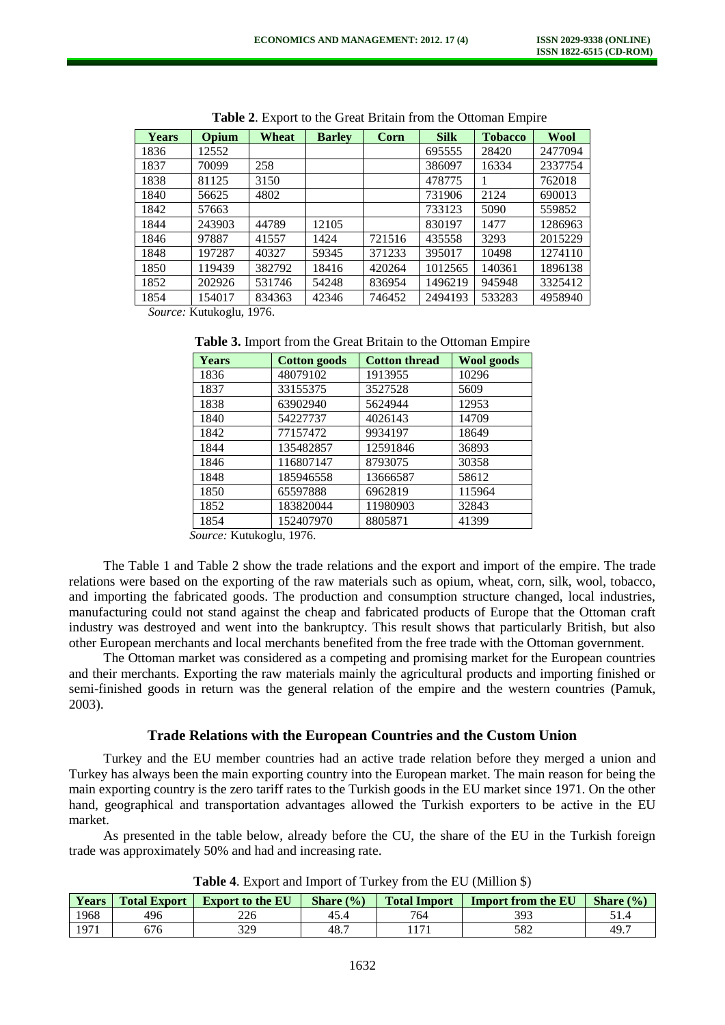| <b>Years</b> | Opium  | Wheat  | <b>Barley</b> | Corn   | <b>Silk</b> | <b>Tobacco</b> | Wool    |
|--------------|--------|--------|---------------|--------|-------------|----------------|---------|
| 1836         | 12552  |        |               |        | 695555      | 28420          | 2477094 |
| 1837         | 70099  | 258    |               |        | 386097      | 16334          | 2337754 |
| 1838         | 81125  | 3150   |               |        | 478775      |                | 762018  |
| 1840         | 56625  | 4802   |               |        | 731906      | 2124           | 690013  |
| 1842         | 57663  |        |               |        | 733123      | 5090           | 559852  |
| 1844         | 243903 | 44789  | 12105         |        | 830197      | 1477           | 1286963 |
| 1846         | 97887  | 41557  | 1424          | 721516 | 435558      | 3293           | 2015229 |
| 1848         | 197287 | 40327  | 59345         | 371233 | 395017      | 10498          | 1274110 |
| 1850         | 119439 | 382792 | 18416         | 420264 | 1012565     | 140361         | 1896138 |
| 1852         | 202926 | 531746 | 54248         | 836954 | 1496219     | 945948         | 3325412 |
| 1854         | 154017 | 834363 | 42346         | 746452 | 2494193     | 533283         | 4958940 |

**Table 2**. Export to the Great Britain from the Ottoman Empire

*Source:* Kutukoglu, 1976.

| Table 3. Import from the Great Britain to the Ottoman Empire |  |
|--------------------------------------------------------------|--|
|--------------------------------------------------------------|--|

| Years | <b>Cotton goods</b> | <b>Cotton thread</b> | <b>Wool goods</b> |
|-------|---------------------|----------------------|-------------------|
| 1836  | 48079102            | 1913955              | 10296             |
| 1837  | 33155375            | 3527528              | 5609              |
| 1838  | 63902940            | 5624944              | 12953             |
| 1840  | 54227737            | 4026143              | 14709             |
| 1842  | 77157472            | 9934197              | 18649             |
| 1844  | 135482857           | 12591846             | 36893             |
| 1846  | 116807147           | 8793075              | 30358             |
| 1848  | 185946558           | 13666587             | 58612             |
| 1850  | 65597888            | 6962819              | 115964            |
| 1852  | 183820044           | 11980903             | 32843             |
| 1854  | 152407970           | 8805871              | 41399             |

*Source:* Kutukoglu, 1976.

The Table 1 and Table 2 show the trade relations and the export and import of the empire. The trade relations were based on the exporting of the raw materials such as opium, wheat, corn, silk, wool, tobacco, and importing the fabricated goods. The production and consumption structure changed, local industries, manufacturing could not stand against the cheap and fabricated products of Europe that the Ottoman craft industry was destroyed and went into the bankruptcy. This result shows that particularly British, but also other European merchants and local merchants benefited from the free trade with the Ottoman government.

The Ottoman market was considered as a competing and promising market for the European countries and their merchants. Exporting the raw materials mainly the agricultural products and importing finished or semi-finished goods in return was the general relation of the empire and the western countries (Pamuk, 2003).

#### **Trade Relations with the European Countries and the Custom Union**

Turkey and the EU member countries had an active trade relation before they merged a union and Turkey has always been the main exporting country into the European market. The main reason for being the main exporting country is the zero tariff rates to the Turkish goods in the EU market since 1971. On the other hand, geographical and transportation advantages allowed the Turkish exporters to be active in the EU market.

As presented in the table below, already before the CU, the share of the EU in the Turkish foreign trade was approximately 50% and had and increasing rate.

| Years | <b>Total Export</b> | <b>Export to the EU</b> | Share $(\% )$ | <b>Total Import</b> | <b>Import from the EU</b> | Share $(\% )$ |
|-------|---------------------|-------------------------|---------------|---------------------|---------------------------|---------------|
| 1968  | 496                 | 226                     | 45.4          | 764                 | 393                       | ، د ر         |
| 1971  | 676                 | 370<br>ر ∠ر             | 48.7          | 171                 | 582                       | 49.7          |

#### **Table 4**. Export and Import of Turkey from the EU (Million \$)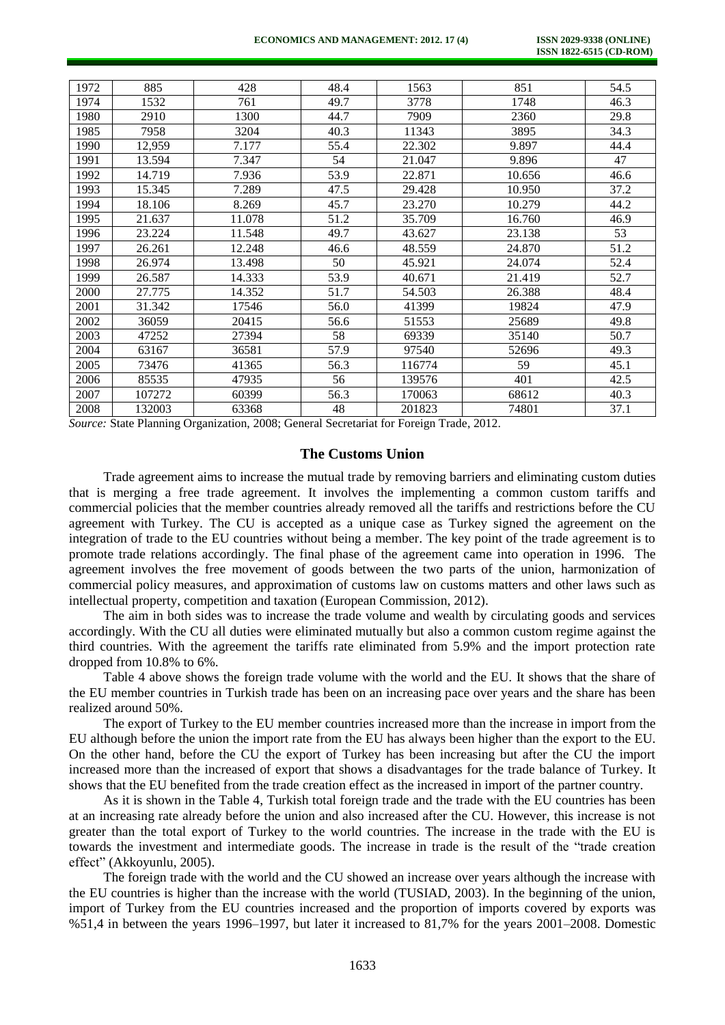| 1972 | 885    | 428    | 48.4 | 1563   | 851    | 54.5 |
|------|--------|--------|------|--------|--------|------|
| 1974 | 1532   | 761    | 49.7 | 3778   | 1748   | 46.3 |
| 1980 | 2910   | 1300   | 44.7 | 7909   | 2360   | 29.8 |
| 1985 | 7958   | 3204   | 40.3 | 11343  | 3895   | 34.3 |
| 1990 | 12,959 | 7.177  | 55.4 | 22.302 | 9.897  | 44.4 |
| 1991 | 13.594 | 7.347  | 54   | 21.047 | 9.896  | 47   |
| 1992 | 14.719 | 7.936  | 53.9 | 22.871 | 10.656 | 46.6 |
| 1993 | 15.345 | 7.289  | 47.5 | 29.428 | 10.950 | 37.2 |
| 1994 | 18.106 | 8.269  | 45.7 | 23.270 | 10.279 | 44.2 |
| 1995 | 21.637 | 11.078 | 51.2 | 35.709 | 16.760 | 46.9 |
| 1996 | 23.224 | 11.548 | 49.7 | 43.627 | 23.138 | 53   |
| 1997 | 26.261 | 12.248 | 46.6 | 48.559 | 24.870 | 51.2 |
| 1998 | 26.974 | 13.498 | 50   | 45.921 | 24.074 | 52.4 |
| 1999 | 26.587 | 14.333 | 53.9 | 40.671 | 21.419 | 52.7 |
| 2000 | 27.775 | 14.352 | 51.7 | 54.503 | 26.388 | 48.4 |
| 2001 | 31.342 | 17546  | 56.0 | 41399  | 19824  | 47.9 |
| 2002 | 36059  | 20415  | 56.6 | 51553  | 25689  | 49.8 |
| 2003 | 47252  | 27394  | 58   | 69339  | 35140  | 50.7 |
| 2004 | 63167  | 36581  | 57.9 | 97540  | 52696  | 49.3 |
| 2005 | 73476  | 41365  | 56.3 | 116774 | 59     | 45.1 |
| 2006 | 85535  | 47935  | 56   | 139576 | 401    | 42.5 |
| 2007 | 107272 | 60399  | 56.3 | 170063 | 68612  | 40.3 |
| 2008 | 132003 | 63368  | 48   | 201823 | 74801  | 37.1 |

*Source:* State Planning Organization, 2008; General Secretariat for Foreign Trade, 2012.

## **The Customs Union**

Trade agreement aims to increase the mutual trade by removing barriers and eliminating custom duties that is merging a free trade agreement. It involves the implementing a common custom tariffs and commercial policies that the member countries already removed all the tariffs and restrictions before the CU agreement with Turkey. The CU is accepted as a unique case as Turkey signed the agreement on the integration of trade to the EU countries without being a member. The key point of the trade agreement is to promote trade relations accordingly. The final phase of the agreement came into operation in 1996. The agreement involves the free movement of goods between the two parts of the union, harmonization of commercial policy measures, and approximation of customs law on customs matters and other laws such as intellectual property, competition and taxation (European Commission, 2012).

The aim in both sides was to increase the trade volume and wealth by circulating goods and services accordingly. With the CU all duties were eliminated mutually but also a common custom regime against the third countries. With the agreement the tariffs rate eliminated from 5.9% and the import protection rate dropped from 10.8% to 6%.

Table 4 above shows the foreign trade volume with the world and the EU. It shows that the share of the EU member countries in Turkish trade has been on an increasing pace over years and the share has been realized around 50%.

The export of Turkey to the EU member countries increased more than the increase in import from the EU although before the union the import rate from the EU has always been higher than the export to the EU. On the other hand, before the CU the export of Turkey has been increasing but after the CU the import increased more than the increased of export that shows a disadvantages for the trade balance of Turkey. It shows that the EU benefited from the trade creation effect as the increased in import of the partner country.

As it is shown in the Table 4, Turkish total foreign trade and the trade with the EU countries has been at an increasing rate already before the union and also increased after the CU. However, this increase is not greater than the total export of Turkey to the world countries. The increase in the trade with the EU is towards the investment and intermediate goods. The increase in trade is the result of the "trade creation effect" (Akkoyunlu, 2005).

The foreign trade with the world and the CU showed an increase over years although the increase with the EU countries is higher than the increase with the world (TUSIAD, 2003). In the beginning of the union, import of Turkey from the EU countries increased and the proportion of imports covered by exports was %51,4 in between the years 1996–1997, but later it increased to 81,7% for the years 2001–2008. Domestic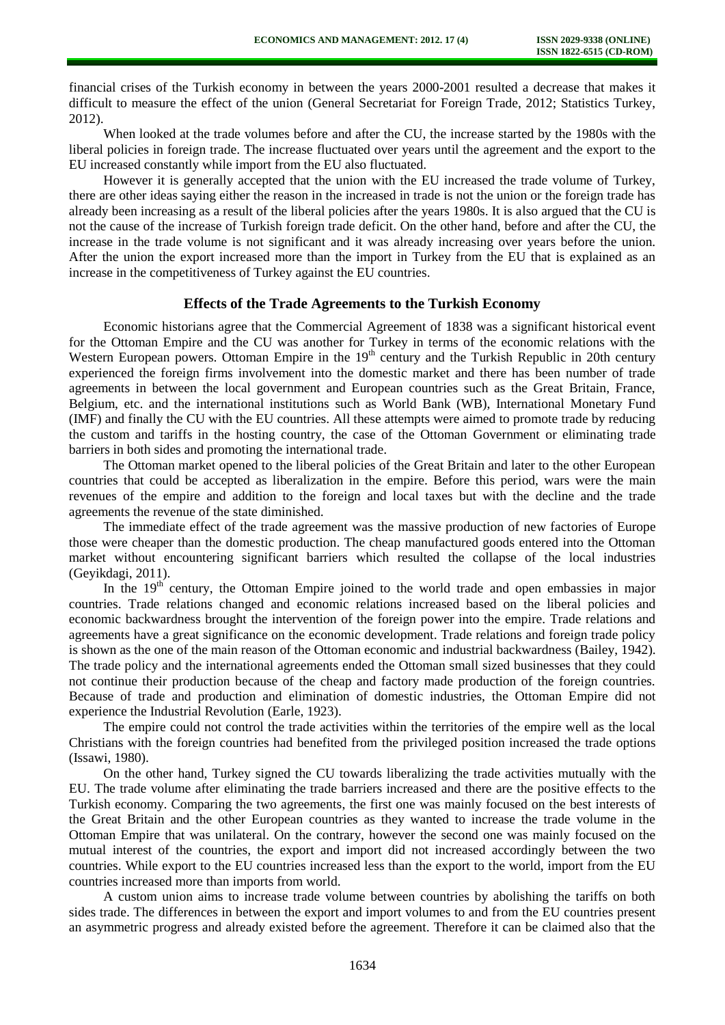financial crises of the Turkish economy in between the years 2000-2001 resulted a decrease that makes it difficult to measure the effect of the union (General Secretariat for Foreign Trade, 2012; Statistics Turkey, 2012).

When looked at the trade volumes before and after the CU, the increase started by the 1980s with the liberal policies in foreign trade. The increase fluctuated over years until the agreement and the export to the EU increased constantly while import from the EU also fluctuated.

However it is generally accepted that the union with the EU increased the trade volume of Turkey, there are other ideas saying either the reason in the increased in trade is not the union or the foreign trade has already been increasing as a result of the liberal policies after the years 1980s. It is also argued that the CU is not the cause of the increase of Turkish foreign trade deficit. On the other hand, before and after the CU, the increase in the trade volume is not significant and it was already increasing over years before the union. After the union the export increased more than the import in Turkey from the EU that is explained as an increase in the competitiveness of Turkey against the EU countries.

## **Effects of the Trade Agreements to the Turkish Economy**

Economic historians agree that the Commercial Agreement of 1838 was a significant historical event for the Ottoman Empire and the CU was another for Turkey in terms of the economic relations with the Western European powers. Ottoman Empire in the  $19<sup>th</sup>$  century and the Turkish Republic in 20th century experienced the foreign firms involvement into the domestic market and there has been number of trade agreements in between the local government and European countries such as the Great Britain, France, Belgium, etc. and the international institutions such as World Bank (WB), International Monetary Fund (IMF) and finally the CU with the EU countries. All these attempts were aimed to promote trade by reducing the custom and tariffs in the hosting country, the case of the Ottoman Government or eliminating trade barriers in both sides and promoting the international trade.

The Ottoman market opened to the liberal policies of the Great Britain and later to the other European countries that could be accepted as liberalization in the empire. Before this period, wars were the main revenues of the empire and addition to the foreign and local taxes but with the decline and the trade agreements the revenue of the state diminished.

The immediate effect of the trade agreement was the massive production of new factories of Europe those were cheaper than the domestic production. The cheap manufactured goods entered into the Ottoman market without encountering significant barriers which resulted the collapse of the local industries (Geyikdagi, 2011).

In the  $19<sup>th</sup>$  century, the Ottoman Empire joined to the world trade and open embassies in major countries. Trade relations changed and economic relations increased based on the liberal policies and economic backwardness brought the intervention of the foreign power into the empire. Trade relations and agreements have a great significance on the economic development. Trade relations and foreign trade policy is shown as the one of the main reason of the Ottoman economic and industrial backwardness (Bailey, 1942). The trade policy and the international agreements ended the Ottoman small sized businesses that they could not continue their production because of the cheap and factory made production of the foreign countries. Because of trade and production and elimination of domestic industries, the Ottoman Empire did not experience the Industrial Revolution (Earle, 1923).

The empire could not control the trade activities within the territories of the empire well as the local Christians with the foreign countries had benefited from the privileged position increased the trade options (Issawi, 1980).

On the other hand, Turkey signed the CU towards liberalizing the trade activities mutually with the EU. The trade volume after eliminating the trade barriers increased and there are the positive effects to the Turkish economy. Comparing the two agreements, the first one was mainly focused on the best interests of the Great Britain and the other European countries as they wanted to increase the trade volume in the Ottoman Empire that was unilateral. On the contrary, however the second one was mainly focused on the mutual interest of the countries, the export and import did not increased accordingly between the two countries. While export to the EU countries increased less than the export to the world, import from the EU countries increased more than imports from world.

A custom union aims to increase trade volume between countries by abolishing the tariffs on both sides trade. The differences in between the export and import volumes to and from the EU countries present an asymmetric progress and already existed before the agreement. Therefore it can be claimed also that the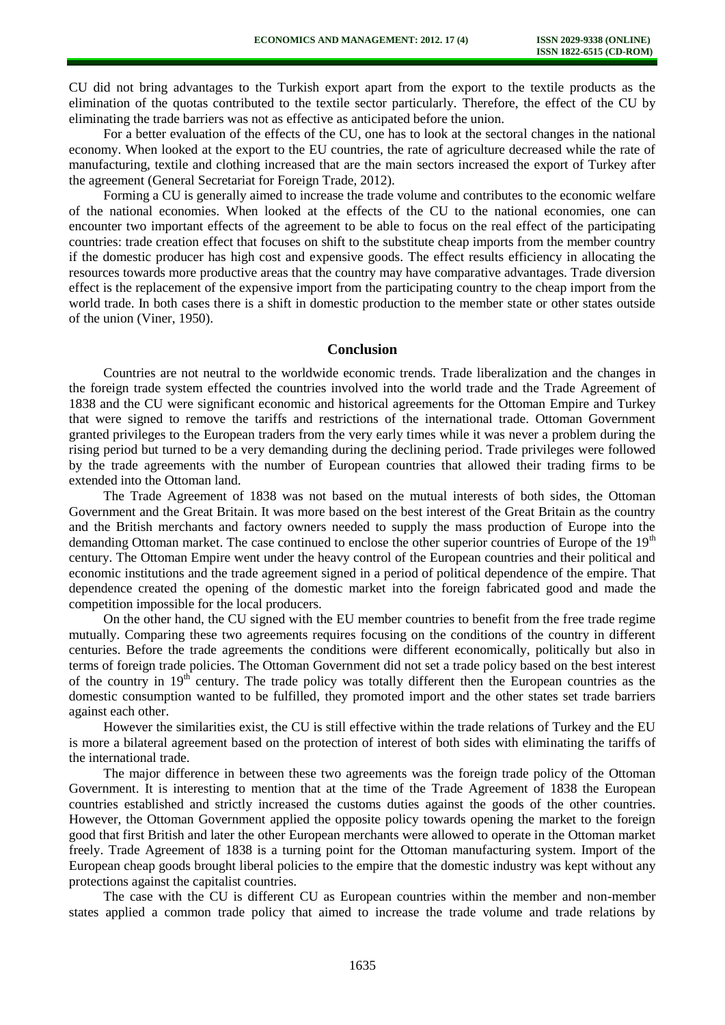CU did not bring advantages to the Turkish export apart from the export to the textile products as the elimination of the quotas contributed to the textile sector particularly. Therefore, the effect of the CU by eliminating the trade barriers was not as effective as anticipated before the union.

For a better evaluation of the effects of the CU, one has to look at the sectoral changes in the national economy. When looked at the export to the EU countries, the rate of agriculture decreased while the rate of manufacturing, textile and clothing increased that are the main sectors increased the export of Turkey after the agreement (General Secretariat for Foreign Trade, 2012).

Forming a CU is generally aimed to increase the trade volume and contributes to the economic welfare of the national economies. When looked at the effects of the CU to the national economies, one can encounter two important effects of the agreement to be able to focus on the real effect of the participating countries: trade creation effect that focuses on shift to the substitute cheap imports from the member country if the domestic producer has high cost and expensive goods. The effect results efficiency in allocating the resources towards more productive areas that the country may have comparative advantages. Trade diversion effect is the replacement of the expensive import from the participating country to the cheap import from the world trade. In both cases there is a shift in domestic production to the member state or other states outside of the union (Viner, 1950).

# **Conclusion**

Countries are not neutral to the worldwide economic trends. Trade liberalization and the changes in the foreign trade system effected the countries involved into the world trade and the Trade Agreement of 1838 and the CU were significant economic and historical agreements for the Ottoman Empire and Turkey that were signed to remove the tariffs and restrictions of the international trade. Ottoman Government granted privileges to the European traders from the very early times while it was never a problem during the rising period but turned to be a very demanding during the declining period. Trade privileges were followed by the trade agreements with the number of European countries that allowed their trading firms to be extended into the Ottoman land.

The Trade Agreement of 1838 was not based on the mutual interests of both sides, the Ottoman Government and the Great Britain. It was more based on the best interest of the Great Britain as the country and the British merchants and factory owners needed to supply the mass production of Europe into the demanding Ottoman market. The case continued to enclose the other superior countries of Europe of the 19<sup>th</sup> century. The Ottoman Empire went under the heavy control of the European countries and their political and economic institutions and the trade agreement signed in a period of political dependence of the empire. That dependence created the opening of the domestic market into the foreign fabricated good and made the competition impossible for the local producers.

On the other hand, the CU signed with the EU member countries to benefit from the free trade regime mutually. Comparing these two agreements requires focusing on the conditions of the country in different centuries. Before the trade agreements the conditions were different economically, politically but also in terms of foreign trade policies. The Ottoman Government did not set a trade policy based on the best interest of the country in  $19<sup>th</sup>$  century. The trade policy was totally different then the European countries as the domestic consumption wanted to be fulfilled, they promoted import and the other states set trade barriers against each other.

However the similarities exist, the CU is still effective within the trade relations of Turkey and the EU is more a bilateral agreement based on the protection of interest of both sides with eliminating the tariffs of the international trade.

The major difference in between these two agreements was the foreign trade policy of the Ottoman Government. It is interesting to mention that at the time of the Trade Agreement of 1838 the European countries established and strictly increased the customs duties against the goods of the other countries. However, the Ottoman Government applied the opposite policy towards opening the market to the foreign good that first British and later the other European merchants were allowed to operate in the Ottoman market freely. Trade Agreement of 1838 is a turning point for the Ottoman manufacturing system. Import of the European cheap goods brought liberal policies to the empire that the domestic industry was kept without any protections against the capitalist countries.

The case with the CU is different CU as European countries within the member and non-member states applied a common trade policy that aimed to increase the trade volume and trade relations by